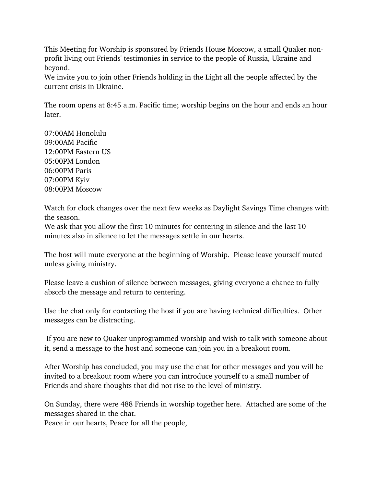This Meeting for Worship is sponsored by Friends House Moscow, a small Quaker nonprofit living out Friends' testimonies in service to the people of Russia, Ukraine and beyond.

We invite you to join other Friends holding in the Light all the people affected by the current crisis in Ukraine.

The room opens at 8:45 a.m. Pacific time; worship begins on the hour and ends an hour later.

07:00AM Honolulu 09:00AM Pacific 12:00PM Eastern US 05:00PM London 06:00PM Paris 07:00PM Kyiv 08:00PM Moscow

Watch for clock changes over the next few weeks as Daylight Savings Time changes with the season.

We ask that you allow the first 10 minutes for centering in silence and the last 10 minutes also in silence to let the messages settle in our hearts.

The host will mute everyone at the beginning of Worship. Please leave yourself muted unless giving ministry.

Please leave a cushion of silence between messages, giving everyone a chance to fully absorb the message and return to centering.

Use the chat only for contacting the host if you are having technical difficulties. Other messages can be distracting.

If you are new to Quaker unprogrammed worship and wish to talk with someone about it, send a message to the host and someone can join you in a breakout room.

After Worship has concluded, you may use the chat for other messages and you will be invited to a breakout room where you can introduce yourself to a small number of Friends and share thoughts that did not rise to the level of ministry.

On Sunday, there were 488 Friends in worship together here. Attached are some of the messages shared in the chat.

Peace in our hearts, Peace for all the people,